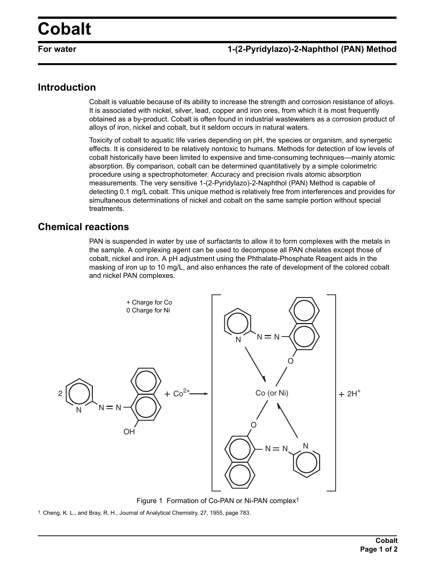## **Cobalt**

## **For water 1-(2-Pyridylazo)-2-Naphthol (PAN) Method**

## **Introduction**

Cobalt is valuable because of its ability to increase the strength and corrosion resistance of alloys. It is associated with nickel, silver, lead, copper and iron ores, from which it is most frequently obtained as a by-product. Cobalt is often found in industrial wastewaters as a corrosion product of alloys of iron, nickel and cobalt, but it seldom occurs in natural waters.

Toxicity of cobalt to aquatic life varies depending on pH, the species or organism, and synergetic effects. It is considered to be relatively nontoxic to humans. Methods for detection of low levels of cobalt historically have been limited to expensive and time-consuming techniques—mainly atomic absorption. By comparison, cobalt can be determined quantitatively by a simple colorimetric procedure using a spectrophotometer. Accuracy and precision rivals atomic absorption measurements. The very sensitive 1-(2-Pyridylazo)-2-Naphthol (PAN) Method is capable of detecting 0.1 mg/L cobalt. This unique method is relatively free from interferences and provides for simultaneous determinations of nickel and cobalt on the same sample portion without special treatments.

## **Chemical reactions**

PAN is suspended in water by use of surfactants to allow it to form complexes with the metals in the sample. A complexing agent can be used to decompose all PAN chelates except those of cobalt, nickel and iron. A pH adjustment using the Phthalate-Phosphate Reagent aids in the masking of iron up to 10 mg/L, and also enhances the rate of development of the colored cobalt and nickel PAN complexes.



Figure 1 Formation of Co-PAN or Ni-PAN complex1

1 Cheng, K. L., and Bray, R. H., Journal of Analytical Chemistry, 27, 1955, page 783.